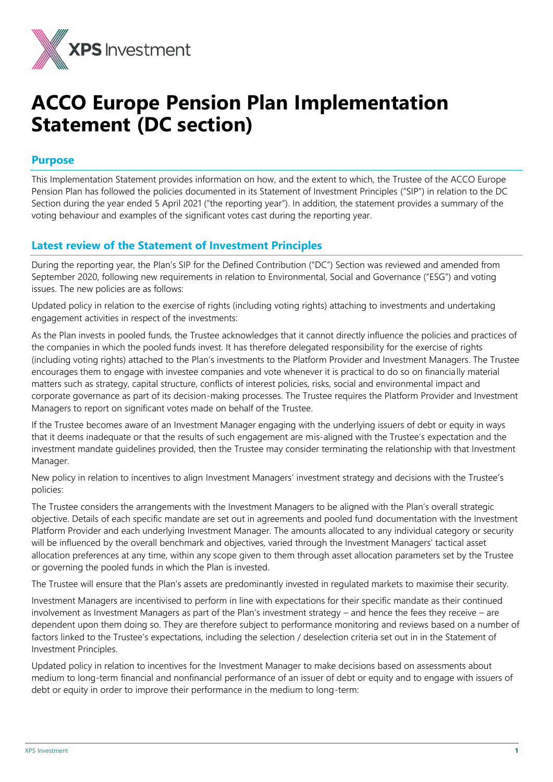

# **ACCO Europe Pension Plan Implementation Statement (DC section)**

# **Purpose**

This Implementation Statement provides information on how, and the extent to which, the Trustee of the ACCO Europe Pension Plan has followed the policies documented in its Statement of Investment Principles ("SIP") in relation to the DC Section during the year ended 5 April 2021 ("the reporting year"). In addition, the statement provides a summary of the voting behaviour and examples of the significant votes cast during the reporting year.

# **Latest review of the Statement of Investment Principles**

During the reporting year, the Plan's SIP for the Defined Contribution ("DC") Section was reviewed and amended from September 2020, following new requirements in relation to Environmental, Social and Governance ("ESG") and voting issues. The new policies are as follows:

Updated policy in relation to the exercise of rights (including voting rights) attaching to investments and undertaking engagement activities in respect of the investments:

As the Plan invests in pooled funds, the Trustee acknowledges that it cannot directly influence the policies and practices of the companies in which the pooled funds invest. It has therefore delegated responsibility for the exercise of rights (including voting rights) attached to the Plan's investments to the Platform Provider and Investment Managers. The Trustee encourages them to engage with investee companies and vote whenever it is practical to do so on financially material matters such as strategy, capital structure, conflicts of interest policies, risks, social and environmental impact and corporate governance as part of its decision-making processes. The Trustee requires the Platform Provider and Investment Managers to report on significant votes made on behalf of the Trustee.

If the Trustee becomes aware of an Investment Manager engaging with the underlying issuers of debt or equity in ways that it deems inadequate or that the results of such engagement are mis-aligned with the Trustee's expectation and the investment mandate guidelines provided, then the Trustee may consider terminating the relationship with that Investment Manager.

New policy in relation to incentives to align Investment Managers' investment strategy and decisions with the Trustee's policies:

The Trustee considers the arrangements with the Investment Managers to be aligned with the Plan's overall strategic objective. Details of each specific mandate are set out in agreements and pooled fund documentation with the Investment Platform Provider and each underlying Investment Manager. The amounts allocated to any individual category or security will be influenced by the overall benchmark and objectives, varied through the Investment Managers' tactical asset allocation preferences at any time, within any scope given to them through asset allocation parameters set by the Trustee or governing the pooled funds in which the Plan is invested.

The Trustee will ensure that the Plan's assets are predominantly invested in regulated markets to maximise their security.

Investment Managers are incentivised to perform in line with expectations for their specific mandate as their continued involvement as Investment Managers as part of the Plan's investment strategy – and hence the fees they receive – are dependent upon them doing so. They are therefore subject to performance monitoring and reviews based on a number of factors linked to the Trustee's expectations, including the selection / deselection criteria set out in in the Statement of Investment Principles.

Updated policy in relation to incentives for the Investment Manager to make decisions based on assessments about medium to long-term financial and nonfinancial performance of an issuer of debt or equity and to engage with issuers of debt or equity in order to improve their performance in the medium to long-term: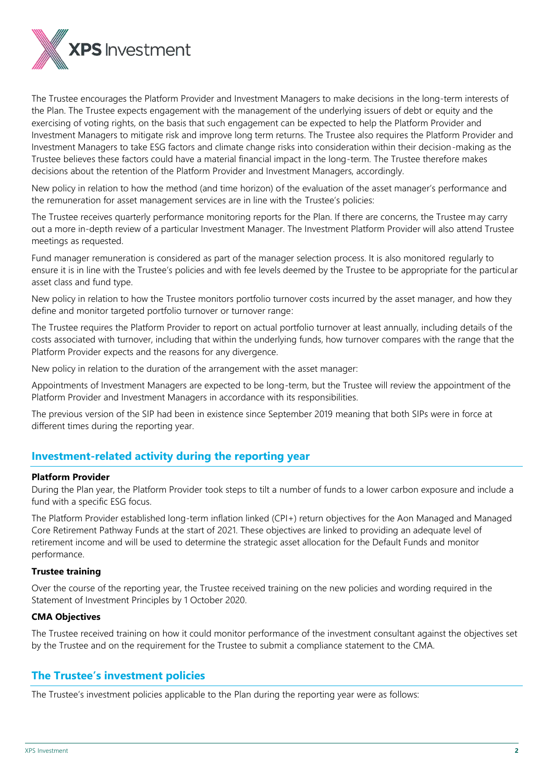

The Trustee encourages the Platform Provider and Investment Managers to make decisions in the long-term interests of the Plan. The Trustee expects engagement with the management of the underlying issuers of debt or equity and the exercising of voting rights, on the basis that such engagement can be expected to help the Platform Provider and Investment Managers to mitigate risk and improve long term returns. The Trustee also requires the Platform Provider and Investment Managers to take ESG factors and climate change risks into consideration within their decision-making as the Trustee believes these factors could have a material financial impact in the long-term. The Trustee therefore makes decisions about the retention of the Platform Provider and Investment Managers, accordingly.

New policy in relation to how the method (and time horizon) of the evaluation of the asset manager's performance and the remuneration for asset management services are in line with the Trustee's policies:

The Trustee receives quarterly performance monitoring reports for the Plan. If there are concerns, the Trustee may carry out a more in-depth review of a particular Investment Manager. The Investment Platform Provider will also attend Trustee meetings as requested.

Fund manager remuneration is considered as part of the manager selection process. It is also monitored regularly to ensure it is in line with the Trustee's policies and with fee levels deemed by the Trustee to be appropriate for the particular asset class and fund type.

New policy in relation to how the Trustee monitors portfolio turnover costs incurred by the asset manager, and how they define and monitor targeted portfolio turnover or turnover range:

The Trustee requires the Platform Provider to report on actual portfolio turnover at least annually, including details of the costs associated with turnover, including that within the underlying funds, how turnover compares with the range that the Platform Provider expects and the reasons for any divergence.

New policy in relation to the duration of the arrangement with the asset manager:

Appointments of Investment Managers are expected to be long-term, but the Trustee will review the appointment of the Platform Provider and Investment Managers in accordance with its responsibilities.

The previous version of the SIP had been in existence since September 2019 meaning that both SIPs were in force at different times during the reporting year.

# **Investment-related activity during the reporting year**

# **Platform Provider**

During the Plan year, the Platform Provider took steps to tilt a number of funds to a lower carbon exposure and include a fund with a specific ESG focus.

The Platform Provider established long-term inflation linked (CPI+) return objectives for the Aon Managed and Managed Core Retirement Pathway Funds at the start of 2021. These objectives are linked to providing an adequate level of retirement income and will be used to determine the strategic asset allocation for the Default Funds and monitor performance.

# **Trustee training**

Over the course of the reporting year, the Trustee received training on the new policies and wording required in the Statement of Investment Principles by 1 October 2020.

# **CMA Objectives**

The Trustee received training on how it could monitor performance of the investment consultant against the objectives set by the Trustee and on the requirement for the Trustee to submit a compliance statement to the CMA.

# **The Trustee's investment policies**

The Trustee's investment policies applicable to the Plan during the reporting year were as follows: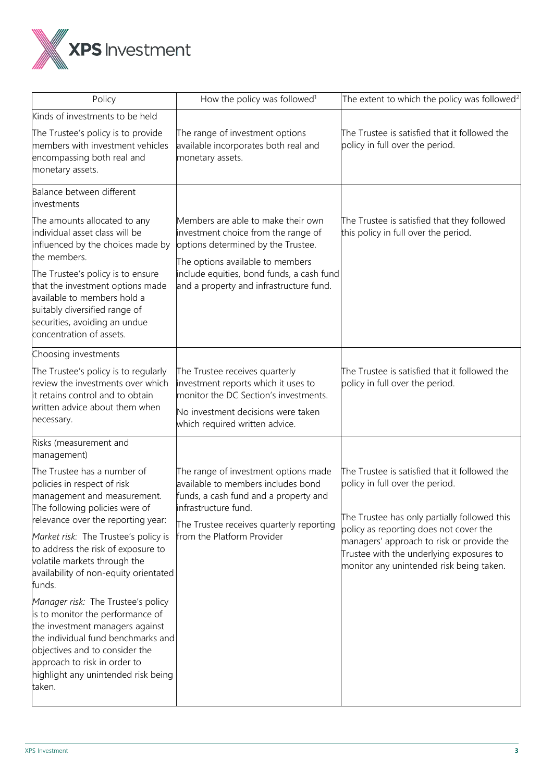

| Policy                                                                                                                                                                                                                                                             | How the policy was followed <sup>1</sup>                                                                                                                                                | The extent to which the policy was followed <sup>2</sup>                                                                                                                    |
|--------------------------------------------------------------------------------------------------------------------------------------------------------------------------------------------------------------------------------------------------------------------|-----------------------------------------------------------------------------------------------------------------------------------------------------------------------------------------|-----------------------------------------------------------------------------------------------------------------------------------------------------------------------------|
| Kinds of investments to be held                                                                                                                                                                                                                                    |                                                                                                                                                                                         |                                                                                                                                                                             |
| The Trustee's policy is to provide<br>members with investment vehicles<br>encompassing both real and<br>monetary assets.                                                                                                                                           | The range of investment options<br>available incorporates both real and<br>monetary assets.                                                                                             | The Trustee is satisfied that it followed the<br>policy in full over the period.                                                                                            |
| Balance between different<br>investments                                                                                                                                                                                                                           |                                                                                                                                                                                         |                                                                                                                                                                             |
| The amounts allocated to any<br>individual asset class will be<br>influenced by the choices made by<br>the members.                                                                                                                                                | Members are able to make their own<br>investment choice from the range of<br>options determined by the Trustee.<br>The options available to members                                     | The Trustee is satisfied that they followed<br>this policy in full over the period.                                                                                         |
| The Trustee's policy is to ensure<br>that the investment options made<br>available to members hold a<br>suitably diversified range of<br>securities, avoiding an undue<br>concentration of assets.                                                                 | include equities, bond funds, a cash fund<br>and a property and infrastructure fund.                                                                                                    |                                                                                                                                                                             |
| Choosing investments                                                                                                                                                                                                                                               |                                                                                                                                                                                         |                                                                                                                                                                             |
| The Trustee's policy is to regularly<br>review the investments over which<br>it retains control and to obtain<br>written advice about them when<br>necessary.                                                                                                      | The Trustee receives quarterly<br>investment reports which it uses to<br>monitor the DC Section's investments.<br>No investment decisions were taken<br>which required written advice.  | The Trustee is satisfied that it followed the<br>policy in full over the period.                                                                                            |
| Risks (measurement and<br>management)                                                                                                                                                                                                                              |                                                                                                                                                                                         |                                                                                                                                                                             |
| The Trustee has a number of<br>policies in respect of risk<br>management and measurement.<br>The following policies were of<br>relevance over the reporting year:                                                                                                  | The range of investment options made<br>available to members includes bond<br>funds, a cash fund and a property and<br>infrastructure fund.<br>The Trustee receives quarterly reporting | The Trustee is satisfied that it followed the<br>policy in full over the period.<br>The Trustee has only partially followed this                                            |
| Market risk: The Trustee's policy is<br>to address the risk of exposure to<br>volatile markets through the<br>availability of non-equity orientated<br>funds.                                                                                                      | from the Platform Provider                                                                                                                                                              | policy as reporting does not cover the<br>managers' approach to risk or provide the<br>Trustee with the underlying exposures to<br>monitor any unintended risk being taken. |
| Manager risk: The Trustee's policy<br>is to monitor the performance of<br>the investment managers against<br>the individual fund benchmarks and<br>objectives and to consider the<br>approach to risk in order to<br>highlight any unintended risk being<br>taken. |                                                                                                                                                                                         |                                                                                                                                                                             |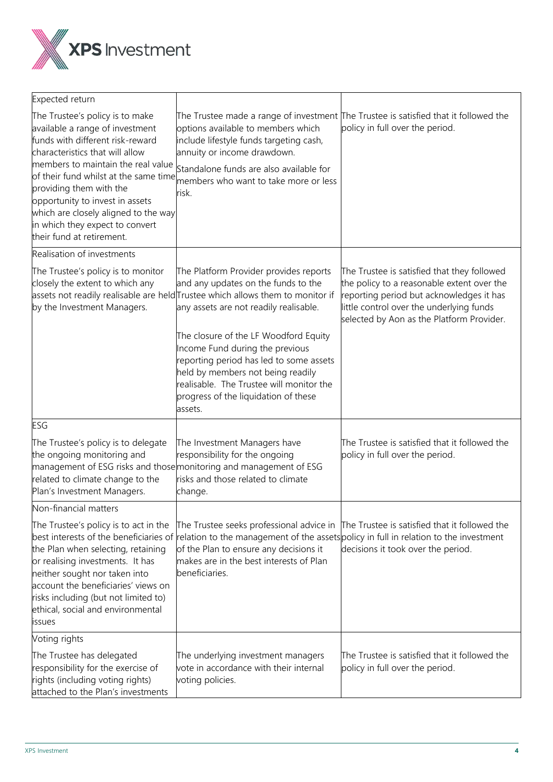

| Expected return                                                                                                                                                                                                                                                                                                                                                                                |                                                                                                                                                                                                                                                         |                                                                                                                                                                                                                                |
|------------------------------------------------------------------------------------------------------------------------------------------------------------------------------------------------------------------------------------------------------------------------------------------------------------------------------------------------------------------------------------------------|---------------------------------------------------------------------------------------------------------------------------------------------------------------------------------------------------------------------------------------------------------|--------------------------------------------------------------------------------------------------------------------------------------------------------------------------------------------------------------------------------|
| The Trustee's policy is to make<br>available a range of investment<br>funds with different risk-reward<br>characteristics that will allow<br>members to maintain the real value<br>of their fund whilst at the same time<br>providing them with the<br>opportunity to invest in assets<br>which are closely aligned to the way<br>in which they expect to convert<br>their fund at retirement. | options available to members which<br>include lifestyle funds targeting cash,<br>annuity or income drawdown.<br>Standalone funds are also available for<br>members who want to take more or less<br>risk.                                               | The Trustee made a range of investment The Trustee is satisfied that it followed the<br>policy in full over the period.                                                                                                        |
| Realisation of investments                                                                                                                                                                                                                                                                                                                                                                     |                                                                                                                                                                                                                                                         |                                                                                                                                                                                                                                |
| The Trustee's policy is to monitor<br>closely the extent to which any<br>by the Investment Managers.                                                                                                                                                                                                                                                                                           | The Platform Provider provides reports<br>and any updates on the funds to the<br>assets not readily realisable are held Trustee which allows them to monitor if<br>any assets are not readily realisable.                                               | The Trustee is satisfied that they followed<br>the policy to a reasonable extent over the<br>reporting period but acknowledges it has<br>little control over the underlying funds<br>selected by Aon as the Platform Provider. |
|                                                                                                                                                                                                                                                                                                                                                                                                | The closure of the LF Woodford Equity<br>Income Fund during the previous<br>reporting period has led to some assets<br>held by members not being readily<br>realisable. The Trustee will monitor the<br>progress of the liquidation of these<br>assets. |                                                                                                                                                                                                                                |
| ESG                                                                                                                                                                                                                                                                                                                                                                                            |                                                                                                                                                                                                                                                         |                                                                                                                                                                                                                                |
| The Trustee's policy is to delegate<br>the ongoing monitoring and<br>related to climate change to the<br>Plan's Investment Managers.                                                                                                                                                                                                                                                           | The Investment Managers have<br>responsibility for the ongoing<br>management of ESG risks and those monitoring and management of ESG<br>risks and those related to climate<br>change.                                                                   | The Trustee is satisfied that it followed the<br>policy in full over the period.                                                                                                                                               |
| Non-financial matters                                                                                                                                                                                                                                                                                                                                                                          |                                                                                                                                                                                                                                                         |                                                                                                                                                                                                                                |
| The Trustee's policy is to act in the<br>best interests of the beneficiaries of<br>the Plan when selecting, retaining<br>or realising investments. It has<br>neither sought nor taken into<br>account the beneficiaries' views on<br>risks including (but not limited to)<br>ethical, social and environmental<br>issues                                                                       | The Trustee seeks professional advice in<br>of the Plan to ensure any decisions it<br>makes are in the best interests of Plan<br>beneficiaries.                                                                                                         | The Trustee is satisfied that it followed the<br>relation to the management of the assets policy in full in relation to the investment<br>decisions it took over the period.                                                   |
| Voting rights                                                                                                                                                                                                                                                                                                                                                                                  |                                                                                                                                                                                                                                                         |                                                                                                                                                                                                                                |
| The Trustee has delegated<br>responsibility for the exercise of<br>rights (including voting rights)<br>attached to the Plan's investments                                                                                                                                                                                                                                                      | The underlying investment managers<br>vote in accordance with their internal<br>voting policies.                                                                                                                                                        | The Trustee is satisfied that it followed the<br>policy in full over the period.                                                                                                                                               |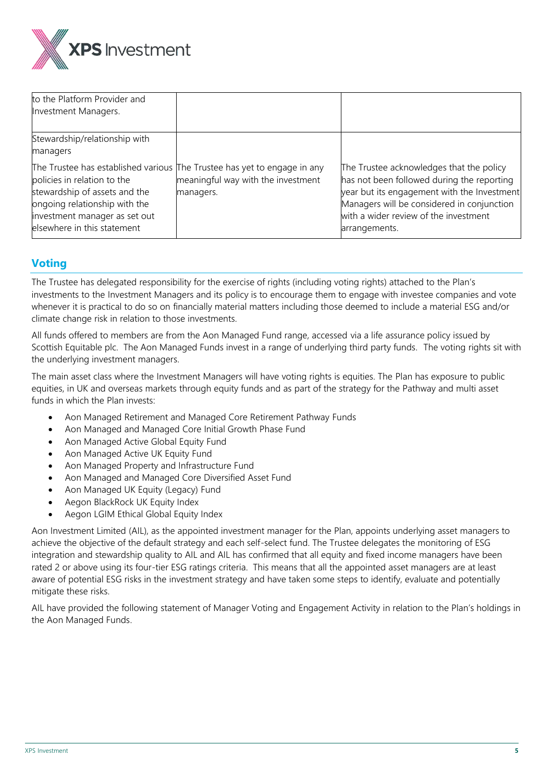

| to the Platform Provider and<br>Investment Managers.                                                                                                          |                                                                                                                             |                                                                                                                                                                                                                                               |
|---------------------------------------------------------------------------------------------------------------------------------------------------------------|-----------------------------------------------------------------------------------------------------------------------------|-----------------------------------------------------------------------------------------------------------------------------------------------------------------------------------------------------------------------------------------------|
| Stewardship/relationship with<br>managers                                                                                                                     |                                                                                                                             |                                                                                                                                                                                                                                               |
| policies in relation to the<br>stewardship of assets and the<br>ongoing relationship with the<br>investment manager as set out<br>elsewhere in this statement | The Trustee has established various The Trustee has yet to engage in any<br>meaningful way with the investment<br>managers. | The Trustee acknowledges that the policy<br>has not been followed during the reporting<br>year but its engagement with the Investment<br>Managers will be considered in conjunction<br>with a wider review of the investment<br>arrangements. |

# **Voting**

The Trustee has delegated responsibility for the exercise of rights (including voting rights) attached to the Plan's investments to the Investment Managers and its policy is to encourage them to engage with investee companies and vote whenever it is practical to do so on financially material matters including those deemed to include a material ESG and/or climate change risk in relation to those investments.

All funds offered to members are from the Aon Managed Fund range, accessed via a life assurance policy issued by Scottish Equitable plc. The Aon Managed Funds invest in a range of underlying third party funds. The voting rights sit with the underlying investment managers.

The main asset class where the Investment Managers will have voting rights is equities. The Plan has exposure to public equities, in UK and overseas markets through equity funds and as part of the strategy for the Pathway and multi asset funds in which the Plan invests:

- Aon Managed Retirement and Managed Core Retirement Pathway Funds
- Aon Managed and Managed Core Initial Growth Phase Fund
- Aon Managed Active Global Equity Fund
- Aon Managed Active UK Equity Fund
- Aon Managed Property and Infrastructure Fund
- Aon Managed and Managed Core Diversified Asset Fund
- Aon Managed UK Equity (Legacy) Fund
- Aegon BlackRock UK Equity Index
- Aegon LGIM Ethical Global Equity Index

Aon Investment Limited (AIL), as the appointed investment manager for the Plan, appoints underlying asset managers to achieve the objective of the default strategy and each self-select fund. The Trustee delegates the monitoring of ESG integration and stewardship quality to AIL and AIL has confirmed that all equity and fixed income managers have been rated 2 or above using its four-tier ESG ratings criteria. This means that all the appointed asset managers are at least aware of potential ESG risks in the investment strategy and have taken some steps to identify, evaluate and potentially mitigate these risks.

AIL have provided the following statement of Manager Voting and Engagement Activity in relation to the Plan's holdings in the Aon Managed Funds.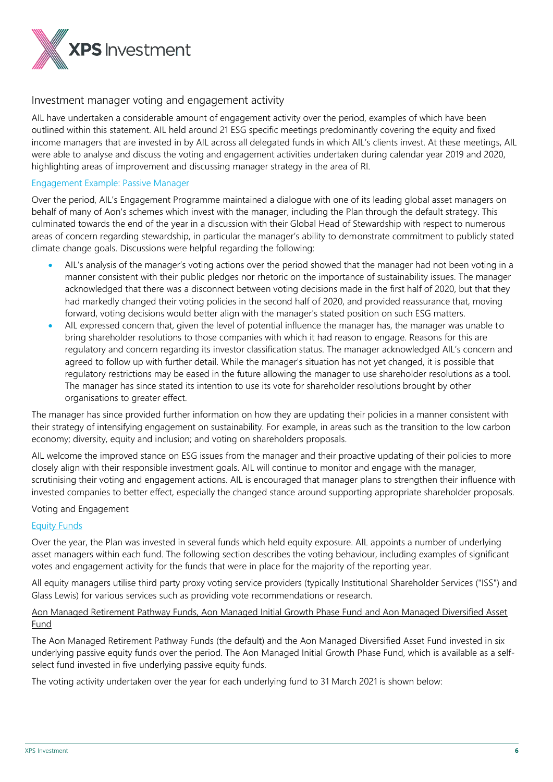

# Investment manager voting and engagement activity

AIL have undertaken a considerable amount of engagement activity over the period, examples of which have been outlined within this statement. AIL held around 21 ESG specific meetings predominantly covering the equity and fixed income managers that are invested in by AIL across all delegated funds in which AIL's clients invest. At these meetings, AIL were able to analyse and discuss the voting and engagement activities undertaken during calendar year 2019 and 2020, highlighting areas of improvement and discussing manager strategy in the area of RI.

#### Engagement Example: Passive Manager

Over the period, AIL's Engagement Programme maintained a dialogue with one of its leading global asset managers on behalf of many of Aon's schemes which invest with the manager, including the Plan through the default strategy. This culminated towards the end of the year in a discussion with their Global Head of Stewardship with respect to numerous areas of concern regarding stewardship, in particular the manager's ability to demonstrate commitment to publicly stated climate change goals. Discussions were helpful regarding the following:

- AIL's analysis of the manager's voting actions over the period showed that the manager had not been voting in a manner consistent with their public pledges nor rhetoric on the importance of sustainability issues. The manager acknowledged that there was a disconnect between voting decisions made in the first half of 2020, but that they had markedly changed their voting policies in the second half of 2020, and provided reassurance that, moving forward, voting decisions would better align with the manager's stated position on such ESG matters.
- AIL expressed concern that, given the level of potential influence the manager has, the manager was unable to bring shareholder resolutions to those companies with which it had reason to engage. Reasons for this are regulatory and concern regarding its investor classification status. The manager acknowledged AIL's concern and agreed to follow up with further detail. While the manager's situation has not yet changed, it is possible that regulatory restrictions may be eased in the future allowing the manager to use shareholder resolutions as a tool. The manager has since stated its intention to use its vote for shareholder resolutions brought by other organisations to greater effect.

The manager has since provided further information on how they are updating their policies in a manner consistent with their strategy of intensifying engagement on sustainability. For example, in areas such as the transition to the low carbon economy; diversity, equity and inclusion; and voting on shareholders proposals.

AIL welcome the improved stance on ESG issues from the manager and their proactive updating of their policies to more closely align with their responsible investment goals. AIL will continue to monitor and engage with the manager, scrutinising their voting and engagement actions. AIL is encouraged that manager plans to strengthen their influence with invested companies to better effect, especially the changed stance around supporting appropriate shareholder proposals.

# Voting and Engagement

# Equity Funds

Over the year, the Plan was invested in several funds which held equity exposure. AIL appoints a number of underlying asset managers within each fund. The following section describes the voting behaviour, including examples of significant votes and engagement activity for the funds that were in place for the majority of the reporting year.

All equity managers utilise third party proxy voting service providers (typically Institutional Shareholder Services ("ISS") and Glass Lewis) for various services such as providing vote recommendations or research.

# Aon Managed Retirement Pathway Funds, Aon Managed Initial Growth Phase Fund and Aon Managed Diversified Asset **Fund**

The Aon Managed Retirement Pathway Funds (the default) and the Aon Managed Diversified Asset Fund invested in six underlying passive equity funds over the period. The Aon Managed Initial Growth Phase Fund, which is available as a selfselect fund invested in five underlying passive equity funds.

The voting activity undertaken over the year for each underlying fund to 31 March 2021 is shown below: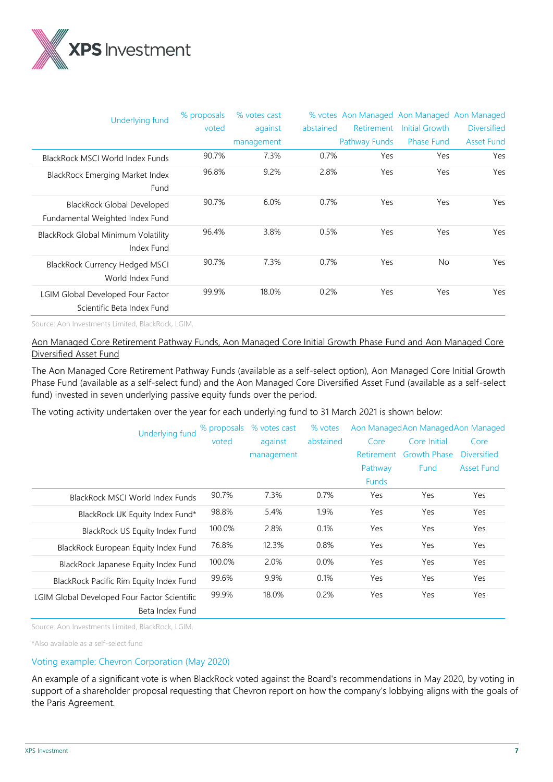

| Underlying fund                                                      | % proposals | % votes cast |           | % votes Aon Managed Aon Managed Aon Managed |                   |                    |
|----------------------------------------------------------------------|-------------|--------------|-----------|---------------------------------------------|-------------------|--------------------|
|                                                                      | voted       | against      | abstained | Retirement                                  | Initial Growth    | <b>Diversified</b> |
|                                                                      |             | management   |           | Pathway Funds                               | <b>Phase Fund</b> | <b>Asset Fund</b>  |
| BlackRock MSCI World Index Funds                                     | 90.7%       | 7.3%         | 0.7%      | Yes                                         | Yes               | Yes                |
| BlackRock Emerging Market Index<br>Fund                              | 96.8%       | 9.2%         | 2.8%      | Yes                                         | Yes               | Yes                |
| <b>BlackRock Global Developed</b><br>Fundamental Weighted Index Fund | 90.7%       | 6.0%         | 0.7%      | Yes                                         | Yes               | Yes                |
| BlackRock Global Minimum Volatility<br>Index Fund                    | 96.4%       | 3.8%         | 0.5%      | Yes                                         | Yes               | Yes                |
| <b>BlackRock Currency Hedged MSCI</b><br>World Index Fund            | 90.7%       | 7.3%         | 0.7%      | Yes                                         | <b>No</b>         | Yes                |
| LGIM Global Developed Four Factor<br>Scientific Beta Index Fund      | 99.9%       | 18.0%        | 0.2%      | Yes                                         | Yes               | Yes                |

Source: Aon Investments Limited, BlackRock, LGIM.

# Aon Managed Core Retirement Pathway Funds, Aon Managed Core Initial Growth Phase Fund and Aon Managed Core Diversified Asset Fund

The Aon Managed Core Retirement Pathway Funds (available as a self-select option), Aon Managed Core Initial Growth Phase Fund (available as a self-select fund) and the Aon Managed Core Diversified Asset Fund (available as a self-select fund) invested in seven underlying passive equity funds over the period.

The voting activity undertaken over the year for each underlying fund to 31 March 2021 is shown below:

| <b>Underlying fund</b>                       | % votes cast<br>% votes<br>% proposals |            |           | Aon Managed Aon Managed Aon Managed |                     |                    |
|----------------------------------------------|----------------------------------------|------------|-----------|-------------------------------------|---------------------|--------------------|
|                                              | voted                                  | against    | abstained | Core                                | Core Initial        | Core               |
|                                              |                                        | management |           | Retirement                          | <b>Growth Phase</b> | <b>Diversified</b> |
|                                              |                                        |            |           | Pathway                             | <b>Fund</b>         | <b>Asset Fund</b>  |
|                                              |                                        |            |           | <b>Funds</b>                        |                     |                    |
| BlackRock MSCI World Index Funds             | 90.7%                                  | 7.3%       | 0.7%      | Yes                                 | Yes                 | Yes                |
| BlackRock UK Equity Index Fund*              | 98.8%                                  | 5.4%       | 1.9%      | Yes                                 | Yes                 | Yes                |
| BlackRock US Equity Index Fund               | 100.0%                                 | 2.8%       | 0.1%      | Yes                                 | Yes                 | Yes                |
| BlackRock European Equity Index Fund         | 76.8%                                  | 12.3%      | 0.8%      | Yes                                 | Yes                 | Yes                |
| BlackRock Japanese Equity Index Fund         | 100.0%                                 | 2.0%       | 0.0%      | Yes                                 | Yes                 | Yes                |
| BlackRock Pacific Rim Equity Index Fund      | 99.6%                                  | 9.9%       | 0.1%      | Yes                                 | Yes                 | Yes                |
| LGIM Global Developed Four Factor Scientific | 99.9%                                  | 18.0%      | 0.2%      | Yes                                 | Yes                 | Yes                |
| Beta Index Fund                              |                                        |            |           |                                     |                     |                    |

Source: Aon Investments Limited, BlackRock, LGIM.

\*Also available as a self-select fund

#### Voting example: Chevron Corporation (May 2020)

An example of a significant vote is when BlackRock voted against the Board's recommendations in May 2020, by voting in support of a shareholder proposal requesting that Chevron report on how the company's lobbying aligns with the goals of the Paris Agreement.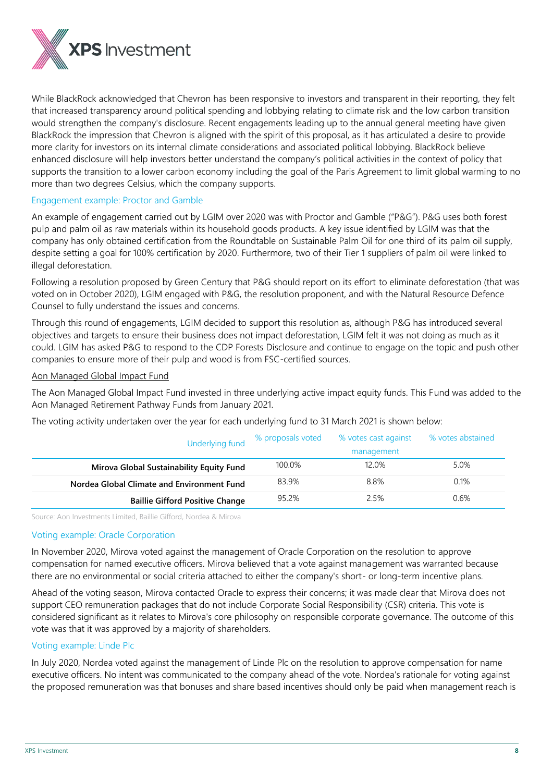

While BlackRock acknowledged that Chevron has been responsive to investors and transparent in their reporting, they felt that increased transparency around political spending and lobbying relating to climate risk and the low carbon transition would strengthen the company's disclosure. Recent engagements leading up to the annual general meeting have given BlackRock the impression that Chevron is aligned with the spirit of this proposal, as it has articulated a desire to provide more clarity for investors on its internal climate considerations and associated political lobbying. BlackRock believe enhanced disclosure will help investors better understand the company's political activities in the context of policy that supports the transition to a lower carbon economy including the goal of the Paris Agreement to limit global warming to no more than two degrees Celsius, which the company supports.

# Engagement example: Proctor and Gamble

An example of engagement carried out by LGIM over 2020 was with Proctor and Gamble ("P&G"). P&G uses both forest pulp and palm oil as raw materials within its household goods products. A key issue identified by LGIM was that the company has only obtained certification from the Roundtable on Sustainable Palm Oil for one third of its palm oil supply, despite setting a goal for 100% certification by 2020. Furthermore, two of their Tier 1 suppliers of palm oil were linked to illegal deforestation.

Following a resolution proposed by Green Century that P&G should report on its effort to eliminate deforestation (that was voted on in October 2020), LGIM engaged with P&G, the resolution proponent, and with the Natural Resource Defence Counsel to fully understand the issues and concerns.

Through this round of engagements, LGIM decided to support this resolution as, although P&G has introduced several objectives and targets to ensure their business does not impact deforestation, LGIM felt it was not doing as much as it could. LGIM has asked P&G to respond to the CDP Forests Disclosure and continue to engage on the topic and push other companies to ensure more of their pulp and wood is from FSC-certified sources.

#### Aon Managed Global Impact Fund

The Aon Managed Global Impact Fund invested in three underlying active impact equity funds. This Fund was added to the Aon Managed Retirement Pathway Funds from January 2021.

The voting activity undertaken over the year for each underlying fund to 31 March 2021 is shown below:

| Underlying fund                            | % proposals voted | % votes cast against<br>management | % votes abstained |
|--------------------------------------------|-------------------|------------------------------------|-------------------|
| Mirova Global Sustainability Equity Fund   | 100.0%            | 12.0%                              | 5.0%              |
| Nordea Global Climate and Environment Fund | 83.9%             | 8.8%                               | 0.1%              |
| <b>Baillie Gifford Positive Change</b>     | 95.2%             | 2.5%                               | 0.6%              |

Source: Aon Investments Limited, Baillie Gifford, Nordea & Mirova

# Voting example: Oracle Corporation

In November 2020, Mirova voted against the management of Oracle Corporation on the resolution to approve compensation for named executive officers. Mirova believed that a vote against management was warranted because there are no environmental or social criteria attached to either the company's short- or long-term incentive plans.

Ahead of the voting season, Mirova contacted Oracle to express their concerns; it was made clear that Mirova does not support CEO remuneration packages that do not include Corporate Social Responsibility (CSR) criteria. This vote is considered significant as it relates to Mirova's core philosophy on responsible corporate governance. The outcome of this vote was that it was approved by a majority of shareholders.

# Voting example: Linde Plc

In July 2020, Nordea voted against the management of Linde Plc on the resolution to approve compensation for name executive officers. No intent was communicated to the company ahead of the vote. Nordea's rationale for voting against the proposed remuneration was that bonuses and share based incentives should only be paid when management reach is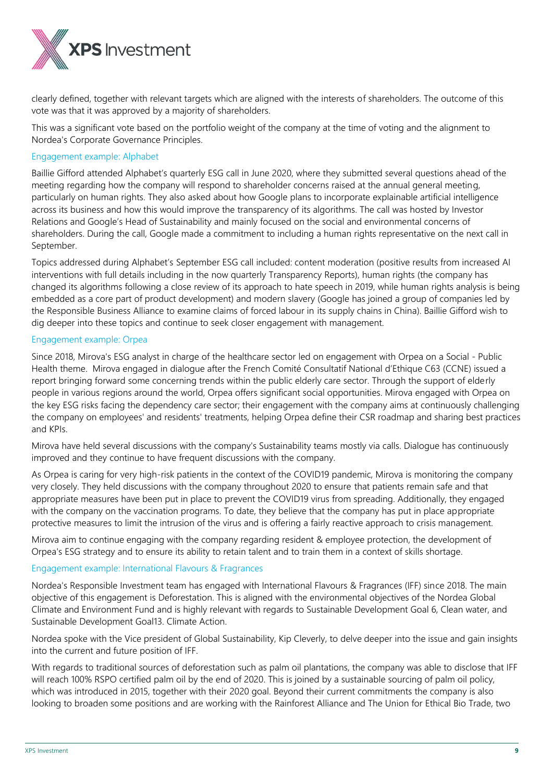

clearly defined, together with relevant targets which are aligned with the interests of shareholders. The outcome of this vote was that it was approved by a majority of shareholders.

This was a significant vote based on the portfolio weight of the company at the time of voting and the alignment to Nordea's Corporate Governance Principles.

#### Engagement example: Alphabet

Baillie Gifford attended Alphabet's quarterly ESG call in June 2020, where they submitted several questions ahead of the meeting regarding how the company will respond to shareholder concerns raised at the annual general meeting, particularly on human rights. They also asked about how Google plans to incorporate explainable artificial intelligence across its business and how this would improve the transparency of its algorithms. The call was hosted by Investor Relations and Google's Head of Sustainability and mainly focused on the social and environmental concerns of shareholders. During the call, Google made a commitment to including a human rights representative on the next call in September.

Topics addressed during Alphabet's September ESG call included: content moderation (positive results from increased AI interventions with full details including in the now quarterly Transparency Reports), human rights (the company has changed its algorithms following a close review of its approach to hate speech in 2019, while human rights analysis is being embedded as a core part of product development) and modern slavery (Google has joined a group of companies led by the Responsible Business Alliance to examine claims of forced labour in its supply chains in China). Baillie Gifford wish to dig deeper into these topics and continue to seek closer engagement with management.

#### Engagement example: Orpea

Since 2018, Mirova's ESG analyst in charge of the healthcare sector led on engagement with Orpea on a Social - Public Health theme. Mirova engaged in dialogue after the French Comité Consultatif National d'Ethique C63 (CCNE) issued a report bringing forward some concerning trends within the public elderly care sector. Through the support of elderly people in various regions around the world, Orpea offers significant social opportunities. Mirova engaged with Orpea on the key ESG risks facing the dependency care sector; their engagement with the company aims at continuously challenging the company on employees' and residents' treatments, helping Orpea define their CSR roadmap and sharing best practices and KPIs.

Mirova have held several discussions with the company's Sustainability teams mostly via calls. Dialogue has continuously improved and they continue to have frequent discussions with the company.

As Orpea is caring for very high-risk patients in the context of the COVID19 pandemic, Mirova is monitoring the company very closely. They held discussions with the company throughout 2020 to ensure that patients remain safe and that appropriate measures have been put in place to prevent the COVID19 virus from spreading. Additionally, they engaged with the company on the vaccination programs. To date, they believe that the company has put in place appropriate protective measures to limit the intrusion of the virus and is offering a fairly reactive approach to crisis management.

Mirova aim to continue engaging with the company regarding resident & employee protection, the development of Orpea's ESG strategy and to ensure its ability to retain talent and to train them in a context of skills shortage.

#### Engagement example: International Flavours & Fragrances

Nordea's Responsible Investment team has engaged with International Flavours & Fragrances (IFF) since 2018. The main objective of this engagement is Deforestation. This is aligned with the environmental objectives of the Nordea Global Climate and Environment Fund and is highly relevant with regards to Sustainable Development Goal 6, Clean water, and Sustainable Development Goal13. Climate Action.

Nordea spoke with the Vice president of Global Sustainability, Kip Cleverly, to delve deeper into the issue and gain insights into the current and future position of IFF.

With regards to traditional sources of deforestation such as palm oil plantations, the company was able to disclose that IFF will reach 100% RSPO certified palm oil by the end of 2020. This is joined by a sustainable sourcing of palm oil policy, which was introduced in 2015, together with their 2020 goal. Beyond their current commitments the company is also looking to broaden some positions and are working with the Rainforest Alliance and The Union for Ethical Bio Trade, two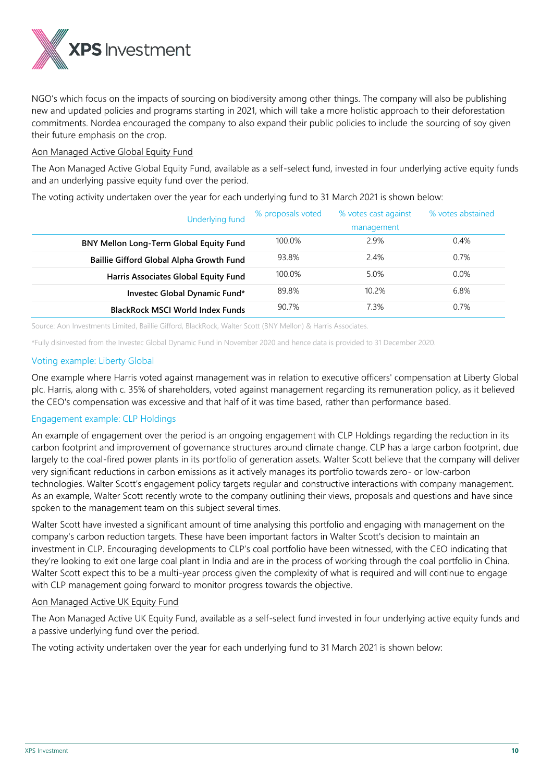

NGO's which focus on the impacts of sourcing on biodiversity among other things. The company will also be publishing new and updated policies and programs starting in 2021, which will take a more holistic approach to their deforestation commitments. Nordea encouraged the company to also expand their public policies to include the sourcing of soy given their future emphasis on the crop.

# Aon Managed Active Global Equity Fund

The Aon Managed Active Global Equity Fund, available as a self-select fund, invested in four underlying active equity funds and an underlying passive equity fund over the period.

The voting activity undertaken over the year for each underlying fund to 31 March 2021 is shown below:

| Underlying fund                          | % proposals voted | % votes cast against | % votes abstained |
|------------------------------------------|-------------------|----------------------|-------------------|
|                                          |                   | management           |                   |
| BNY Mellon Long-Term Global Equity Fund  | 100.0%            | 2.9%                 | 0.4%              |
| Baillie Gifford Global Alpha Growth Fund | 93.8%             | 2.4%                 | 0.7%              |
| Harris Associates Global Equity Fund     | 100.0%            | 5.0%                 | $0.0\%$           |
| Investec Global Dynamic Fund*            | 89.8%             | 10.2%                | 6.8%              |
| <b>BlackRock MSCI World Index Funds</b>  | 90.7%             | 7.3%                 | 0.7%              |

Source: Aon Investments Limited, Baillie Gifford, BlackRock, Walter Scott (BNY Mellon) & Harris Associates.

\*Fully disinvested from the Investec Global Dynamic Fund in November 2020 and hence data is provided to 31 December 2020.

# Voting example: Liberty Global

One example where Harris voted against management was in relation to executive officers' compensation at Liberty Global plc. Harris, along with c. 35% of shareholders, voted against management regarding its remuneration policy, as it believed the CEO's compensation was excessive and that half of it was time based, rather than performance based.

# Engagement example: CLP Holdings

An example of engagement over the period is an ongoing engagement with CLP Holdings regarding the reduction in its carbon footprint and improvement of governance structures around climate change. CLP has a large carbon footprint, due largely to the coal-fired power plants in its portfolio of generation assets. Walter Scott believe that the company will deliver very significant reductions in carbon emissions as it actively manages its portfolio towards zero- or low-carbon technologies. Walter Scott's engagement policy targets regular and constructive interactions with company management. As an example, Walter Scott recently wrote to the company outlining their views, proposals and questions and have since spoken to the management team on this subject several times.

Walter Scott have invested a significant amount of time analysing this portfolio and engaging with management on the company's carbon reduction targets. These have been important factors in Walter Scott's decision to maintain an investment in CLP. Encouraging developments to CLP's coal portfolio have been witnessed, with the CEO indicating that they're looking to exit one large coal plant in India and are in the process of working through the coal portfolio in China. Walter Scott expect this to be a multi-year process given the complexity of what is required and will continue to engage with CLP management going forward to monitor progress towards the objective.

# Aon Managed Active UK Equity Fund

The Aon Managed Active UK Equity Fund, available as a self-select fund invested in four underlying active equity funds and a passive underlying fund over the period.

The voting activity undertaken over the year for each underlying fund to 31 March 2021 is shown below: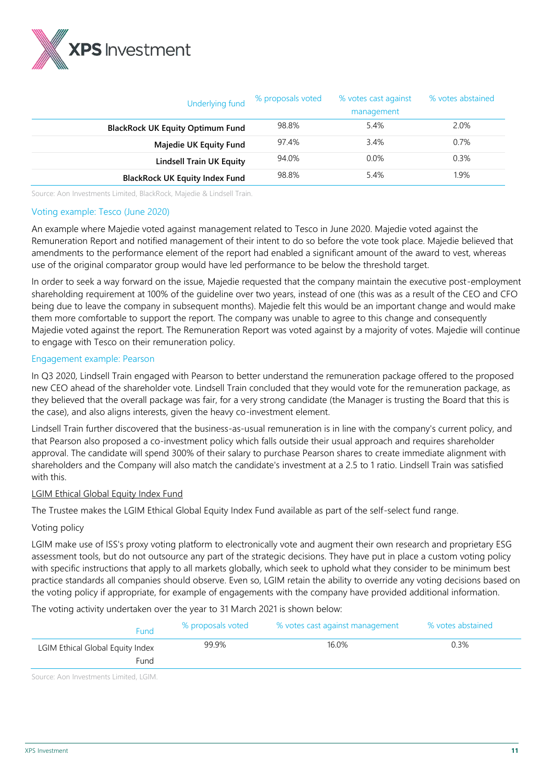

| Underlying fund                         | % proposals voted | % votes cast against<br>management | % votes abstained |
|-----------------------------------------|-------------------|------------------------------------|-------------------|
|                                         |                   |                                    |                   |
| <b>BlackRock UK Equity Optimum Fund</b> | 98.8%             | 5.4%                               | 2.0%              |
| Majedie UK Equity Fund                  | 97.4%             | 3.4%                               | 0.7%              |
| <b>Lindsell Train UK Equity</b>         | 94.0%             | $0.0\%$                            | 0.3%              |
| <b>BlackRock UK Equity Index Fund</b>   | 98.8%             | 5.4%                               | 1.9%              |

Source: Aon Investments Limited, BlackRock, Majedie & Lindsell Train.

#### Voting example: Tesco (June 2020)

An example where Majedie voted against management related to Tesco in June 2020. Majedie voted against the Remuneration Report and notified management of their intent to do so before the vote took place. Majedie believed that amendments to the performance element of the report had enabled a significant amount of the award to vest, whereas use of the original comparator group would have led performance to be below the threshold target.

In order to seek a way forward on the issue, Majedie requested that the company maintain the executive post-employment shareholding requirement at 100% of the guideline over two years, instead of one (this was as a result of the CEO and CFO being due to leave the company in subsequent months). Majedie felt this would be an important change and would make them more comfortable to support the report. The company was unable to agree to this change and consequently Majedie voted against the report. The Remuneration Report was voted against by a majority of votes. Majedie will continue to engage with Tesco on their remuneration policy.

#### Engagement example: Pearson

In Q3 2020, Lindsell Train engaged with Pearson to better understand the remuneration package offered to the proposed new CEO ahead of the shareholder vote. Lindsell Train concluded that they would vote for the remuneration package, as they believed that the overall package was fair, for a very strong candidate (the Manager is trusting the Board that this is the case), and also aligns interests, given the heavy co-investment element.

Lindsell Train further discovered that the business-as-usual remuneration is in line with the company's current policy, and that Pearson also proposed a co-investment policy which falls outside their usual approach and requires shareholder approval. The candidate will spend 300% of their salary to purchase Pearson shares to create immediate alignment with shareholders and the Company will also match the candidate's investment at a 2.5 to 1 ratio. Lindsell Train was satisfied with this.

# LGIM Ethical Global Equity Index Fund

The Trustee makes the LGIM Ethical Global Equity Index Fund available as part of the self-select fund range.

# Voting policy

LGIM make use of ISS's proxy voting platform to electronically vote and augment their own research and proprietary ESG assessment tools, but do not outsource any part of the strategic decisions. They have put in place a custom voting policy with specific instructions that apply to all markets globally, which seek to uphold what they consider to be minimum best practice standards all companies should observe. Even so, LGIM retain the ability to override any voting decisions based on the voting policy if appropriate, for example of engagements with the company have provided additional information.

The voting activity undertaken over the year to 31 March 2021 is shown below:

| <b>Fund</b>                      | % proposals voted | % votes cast against management | % votes abstained |
|----------------------------------|-------------------|---------------------------------|-------------------|
| LGIM Ethical Global Equity Index | 99.9%             | 16.0%                           | 0.3%              |
| Fund                             |                   |                                 |                   |
|                                  |                   |                                 |                   |

Source: Aon Investments Limited, LGIM.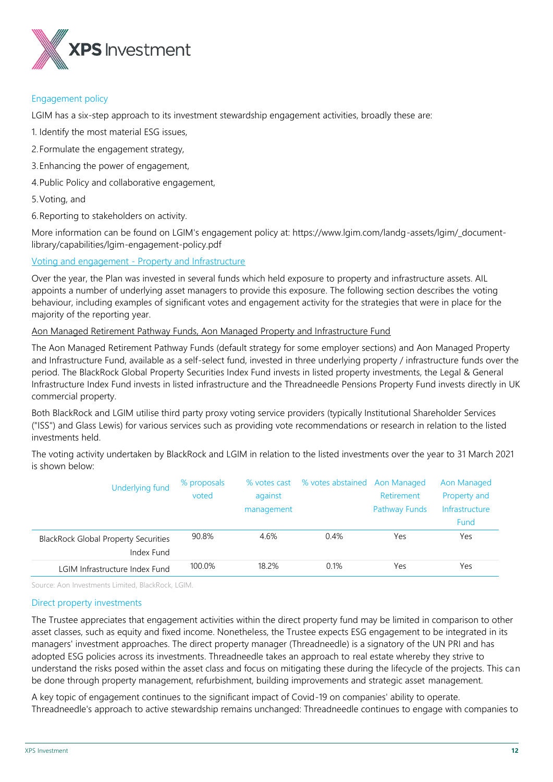

#### Engagement policy

LGIM has a six-step approach to its investment stewardship engagement activities, broadly these are:

- 1. Identify the most material ESG issues,
- 2.Formulate the engagement strategy,
- 3.Enhancing the power of engagement,
- 4.Public Policy and collaborative engagement,
- 5.Voting, and
- 6.Reporting to stakeholders on activity.

More information can be found on LGIM's engagement policy at: https://www.lgim.com/landg-assets/lgim/\_documentlibrary/capabilities/lgim-engagement-policy.pdf

Voting and engagement - Property and Infrastructure

Over the year, the Plan was invested in several funds which held exposure to property and infrastructure assets. AIL appoints a number of underlying asset managers to provide this exposure. The following section describes the voting behaviour, including examples of significant votes and engagement activity for the strategies that were in place for the majority of the reporting year.

# Aon Managed Retirement Pathway Funds, Aon Managed Property and Infrastructure Fund

The Aon Managed Retirement Pathway Funds (default strategy for some employer sections) and Aon Managed Property and Infrastructure Fund, available as a self-select fund, invested in three underlying property / infrastructure funds over the period. The BlackRock Global Property Securities Index Fund invests in listed property investments, the Legal & General Infrastructure Index Fund invests in listed infrastructure and the Threadneedle Pensions Property Fund invests directly in UK commercial property.

Both BlackRock and LGIM utilise third party proxy voting service providers (typically Institutional Shareholder Services ("ISS") and Glass Lewis) for various services such as providing vote recommendations or research in relation to the listed investments held.

The voting activity undertaken by BlackRock and LGIM in relation to the listed investments over the year to 31 March 2021 is shown below:

| <b>Underlying fund</b>                                    | % proposals<br>voted | against<br>management | % votes cast % votes abstained Aon Managed | Retirement<br><b>Pathway Funds</b> | Aon Managed<br>Property and<br>Infrastructure<br><b>Fund</b> |
|-----------------------------------------------------------|----------------------|-----------------------|--------------------------------------------|------------------------------------|--------------------------------------------------------------|
| <b>BlackRock Global Property Securities</b><br>Index Fund | 90.8%                | 4.6%                  | 0.4%                                       | Yes                                | Yes                                                          |
| LGIM Infrastructure Index Fund                            | 100.0%               | 18.2%                 | 0.1%                                       | Yes                                | Yes                                                          |

Source: Aon Investments Limited, BlackRock, LGIM.

#### Direct property investments

The Trustee appreciates that engagement activities within the direct property fund may be limited in comparison to other asset classes, such as equity and fixed income. Nonetheless, the Trustee expects ESG engagement to be integrated in its managers' investment approaches. The direct property manager (Threadneedle) is a signatory of the UN PRI and has adopted ESG policies across its investments. Threadneedle takes an approach to real estate whereby they strive to understand the risks posed within the asset class and focus on mitigating these during the lifecycle of the projects. This can be done through property management, refurbishment, building improvements and strategic asset management.

A key topic of engagement continues to the significant impact of Covid-19 on companies' ability to operate. Threadneedle's approach to active stewardship remains unchanged: Threadneedle continues to engage with companies to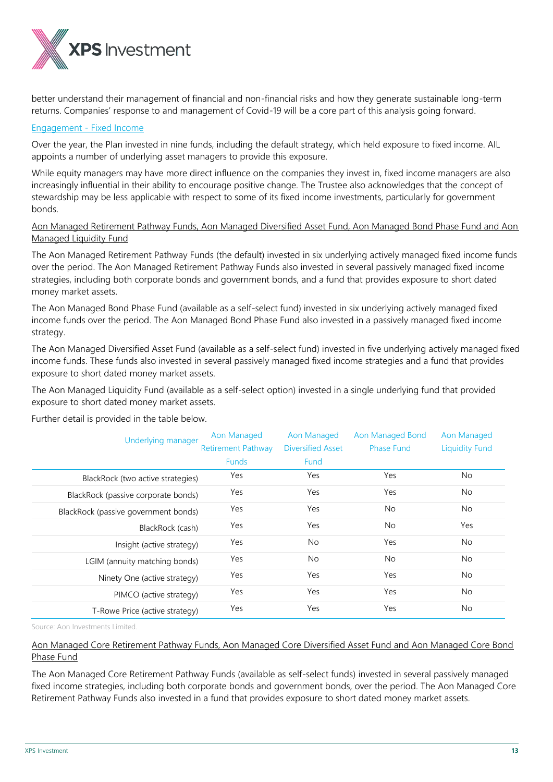

better understand their management of financial and non-financial risks and how they generate sustainable long-term returns. Companies' response to and management of Covid-19 will be a core part of this analysis going forward.

#### Engagement - Fixed Income

Over the year, the Plan invested in nine funds, including the default strategy, which held exposure to fixed income. AIL appoints a number of underlying asset managers to provide this exposure.

While equity managers may have more direct influence on the companies they invest in, fixed income managers are also increasingly influential in their ability to encourage positive change. The Trustee also acknowledges that the concept of stewardship may be less applicable with respect to some of its fixed income investments, particularly for government bonds.

# Aon Managed Retirement Pathway Funds, Aon Managed Diversified Asset Fund, Aon Managed Bond Phase Fund and Aon Managed Liquidity Fund

The Aon Managed Retirement Pathway Funds (the default) invested in six underlying actively managed fixed income funds over the period. The Aon Managed Retirement Pathway Funds also invested in several passively managed fixed income strategies, including both corporate bonds and government bonds, and a fund that provides exposure to short dated money market assets.

The Aon Managed Bond Phase Fund (available as a self-select fund) invested in six underlying actively managed fixed income funds over the period. The Aon Managed Bond Phase Fund also invested in a passively managed fixed income strategy.

The Aon Managed Diversified Asset Fund (available as a self-select fund) invested in five underlying actively managed fixed income funds. These funds also invested in several passively managed fixed income strategies and a fund that provides exposure to short dated money market assets.

The Aon Managed Liquidity Fund (available as a self-select option) invested in a single underlying fund that provided exposure to short dated money market assets.

Further detail is provided in the table below.

| Underlying manager                   | Aon Managed<br><b>Retirement Pathway</b> | Aon Managed<br><b>Diversified Asset</b> | Aon Managed Bond<br>Phase Fund | Aon Managed<br><b>Liquidity Fund</b> |
|--------------------------------------|------------------------------------------|-----------------------------------------|--------------------------------|--------------------------------------|
|                                      | <b>Funds</b>                             | <b>Fund</b>                             |                                |                                      |
| BlackRock (two active strategies)    | Yes                                      | Yes                                     | Yes                            | No.                                  |
| BlackRock (passive corporate bonds)  | Yes                                      | Yes                                     | Yes                            | No.                                  |
| BlackRock (passive government bonds) | Yes                                      | Yes                                     | No.                            | No.                                  |
| BlackRock (cash)                     | Yes                                      | Yes                                     | No.                            | Yes                                  |
| Insight (active strategy)            | Yes                                      | No.                                     | Yes                            | No.                                  |
| LGIM (annuity matching bonds)        | Yes                                      | No.                                     | No.                            | No                                   |
| Ninety One (active strategy)         | Yes                                      | Yes                                     | Yes                            | No.                                  |
| PIMCO (active strategy)              | Yes                                      | Yes                                     | Yes                            | No.                                  |
| T-Rowe Price (active strategy)       | Yes                                      | Yes                                     | Yes                            | No.                                  |

Source: Aon Investments Limited.

# Aon Managed Core Retirement Pathway Funds, Aon Managed Core Diversified Asset Fund and Aon Managed Core Bond Phase Fund

The Aon Managed Core Retirement Pathway Funds (available as self-select funds) invested in several passively managed fixed income strategies, including both corporate bonds and government bonds, over the period. The Aon Managed Core Retirement Pathway Funds also invested in a fund that provides exposure to short dated money market assets.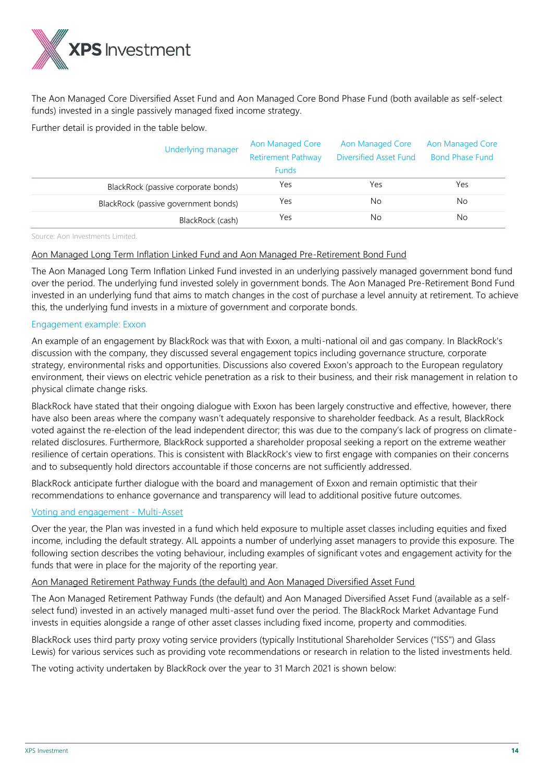

The Aon Managed Core Diversified Asset Fund and Aon Managed Core Bond Phase Fund (both available as self-select funds) invested in a single passively managed fixed income strategy.

Further detail is provided in the table below.

| Underlying manager                   | Aon Managed Core<br><b>Retirement Pathway</b><br><b>Funds</b> | Aon Managed Core<br>Diversified Asset Fund | Aon Managed Core<br><b>Bond Phase Fund</b> |
|--------------------------------------|---------------------------------------------------------------|--------------------------------------------|--------------------------------------------|
| BlackRock (passive corporate bonds)  | Yes                                                           | Yes                                        | Yes                                        |
| BlackRock (passive government bonds) | Yes                                                           | No.                                        | No                                         |
| BlackRock (cash)                     | Yes                                                           | No.                                        | No                                         |

Source: Aon Investments Limited.

# Aon Managed Long Term Inflation Linked Fund and Aon Managed Pre-Retirement Bond Fund

The Aon Managed Long Term Inflation Linked Fund invested in an underlying passively managed government bond fund over the period. The underlying fund invested solely in government bonds. The Aon Managed Pre-Retirement Bond Fund invested in an underlying fund that aims to match changes in the cost of purchase a level annuity at retirement. To achieve this, the underlying fund invests in a mixture of government and corporate bonds.

# Engagement example: Exxon

An example of an engagement by BlackRock was that with Exxon, a multi-national oil and gas company. In BlackRock's discussion with the company, they discussed several engagement topics including governance structure, corporate strategy, environmental risks and opportunities. Discussions also covered Exxon's approach to the European regulatory environment, their views on electric vehicle penetration as a risk to their business, and their risk management in relation to physical climate change risks.

BlackRock have stated that their ongoing dialogue with Exxon has been largely constructive and effective, however, there have also been areas where the company wasn't adequately responsive to shareholder feedback. As a result, BlackRock voted against the re-election of the lead independent director; this was due to the company's lack of progress on climaterelated disclosures. Furthermore, BlackRock supported a shareholder proposal seeking a report on the extreme weather resilience of certain operations. This is consistent with BlackRock's view to first engage with companies on their concerns and to subsequently hold directors accountable if those concerns are not sufficiently addressed.

BlackRock anticipate further dialogue with the board and management of Exxon and remain optimistic that their recommendations to enhance governance and transparency will lead to additional positive future outcomes.

# Voting and engagement - Multi-Asset

Over the year, the Plan was invested in a fund which held exposure to multiple asset classes including equities and fixed income, including the default strategy. AIL appoints a number of underlying asset managers to provide this exposure. The following section describes the voting behaviour, including examples of significant votes and engagement activity for the funds that were in place for the majority of the reporting year.

# Aon Managed Retirement Pathway Funds (the default) and Aon Managed Diversified Asset Fund

The Aon Managed Retirement Pathway Funds (the default) and Aon Managed Diversified Asset Fund (available as a selfselect fund) invested in an actively managed multi-asset fund over the period. The BlackRock Market Advantage Fund invests in equities alongside a range of other asset classes including fixed income, property and commodities.

BlackRock uses third party proxy voting service providers (typically Institutional Shareholder Services ("ISS") and Glass Lewis) for various services such as providing vote recommendations or research in relation to the listed investments held.

The voting activity undertaken by BlackRock over the year to 31 March 2021 is shown below: